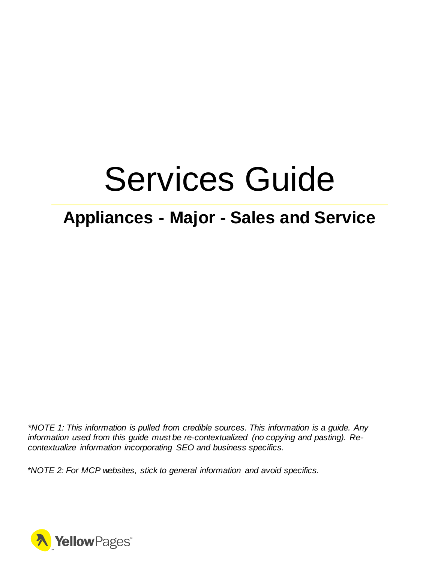# Services Guide

# **Appliances - Major - Sales and Service**

*\*NOTE 1: This information is pulled from credible sources. This information is a guide. Any information used from this guide must be re-contextualized (no copying and pasting). Recontextualize information incorporating SEO and business specifics.*

*\*NOTE 2: For MCP websites, stick to general information and avoid specifics.*

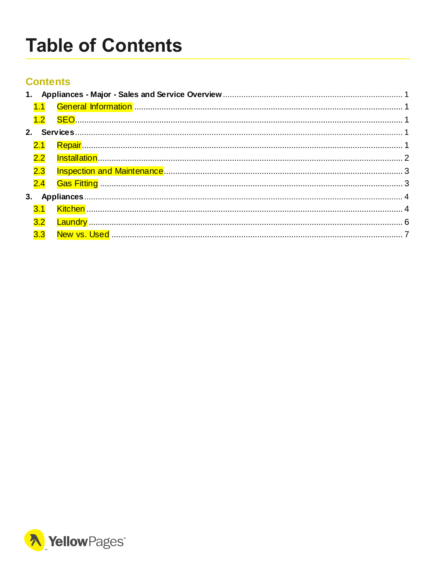# <span id="page-1-0"></span>**Table of Contents**

# **Contents**

|  | 2.3 |  |  |  |
|--|-----|--|--|--|
|  |     |  |  |  |
|  |     |  |  |  |
|  |     |  |  |  |
|  | 3.2 |  |  |  |
|  | 3.3 |  |  |  |
|  |     |  |  |  |

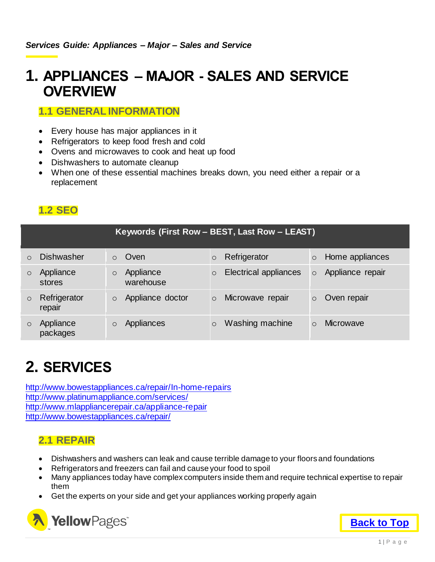# <span id="page-2-0"></span>**1. APPLIANCES – MAJOR - SALES AND SERVICE OVERVIEW**

### <span id="page-2-1"></span>**1.1 GENERAL INFORMATION**

- Every house has major appliances in it
- Refrigerators to keep food fresh and cold
- Ovens and microwaves to cook and heat up food
- Dishwashers to automate cleanup
- When one of these essential machines breaks down, you need either a repair or a replacement

# <span id="page-2-2"></span>**1.2 SEO**

|          | Keywords (First Row - BEST, Last Row - LEAST) |         |                        |         |                              |           |                  |
|----------|-----------------------------------------------|---------|------------------------|---------|------------------------------|-----------|------------------|
| $\Omega$ | <b>Dishwasher</b>                             |         | Oven                   | $\circ$ | Refrigerator                 | $\circ$   | Home appliances  |
|          | Appliance<br>stores                           | $\circ$ | Appliance<br>warehouse | $\circ$ | <b>Electrical appliances</b> | $\circ$   | Appliance repair |
| $\circ$  | Refrigerator<br>repair                        | $\circ$ | Appliance doctor       | $\circ$ | Microwave repair             | $\circ$   | Oven repair      |
|          | Appliance<br>packages                         |         | Appliances             | $\circ$ | Washing machine              | $\bigcap$ | <b>Microwave</b> |

# <span id="page-2-3"></span>**2. SERVICES**

<http://www.bowestappliances.ca/repair/In-home-repairs> <http://www.platinumappliance.com/services/> <http://www.mlappliancerepair.ca/appliance-repair> <http://www.bowestappliances.ca/repair/>

## <span id="page-2-4"></span>**2.1 REPAIR**

- Dishwashers and washers can leak and cause terrible damage to your floors and foundations
- Refrigerators and freezers can fail and cause your food to spoil
- Many appliances today have complex computers inside them and require technical expertise to repair them
- Get the experts on your side and get your appliances working properly again



**[Back to Top](#page-1-0)**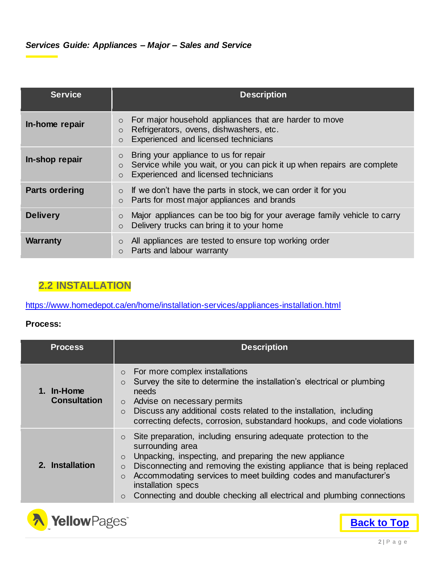| <b>Service</b>        | <b>Description</b>                                                                                                                                                             |
|-----------------------|--------------------------------------------------------------------------------------------------------------------------------------------------------------------------------|
| In-home repair        | For major household appliances that are harder to move<br>$\circ$<br>Refrigerators, ovens, dishwashers, etc.<br>$\circ$<br>Experienced and licensed technicians                |
| In-shop repair        | Bring your appliance to us for repair<br>$\circ$<br>Service while you wait, or you can pick it up when repairs are complete<br>$\circ$<br>Experienced and licensed technicians |
| <b>Parts ordering</b> | If we don't have the parts in stock, we can order it for you<br>$\circ$<br>Parts for most major appliances and brands<br>$\circ$                                               |
| <b>Delivery</b>       | Major appliances can be too big for your average family vehicle to carry<br>$\circ$<br>Delivery trucks can bring it to your home<br>$\circ$                                    |
| <b>Warranty</b>       | All appliances are tested to ensure top working order<br>$\circ$<br>Parts and labour warranty<br>$\circ$                                                                       |

# <span id="page-3-0"></span>**2.2 INSTALLATION**

<https://www.homedepot.ca/en/home/installation-services/appliances-installation.html>

#### **Process:**

| <b>Process</b>                    | <b>Description</b>                                                                                                                                                                                                                                                                                                                                                                                                                                   |
|-----------------------------------|------------------------------------------------------------------------------------------------------------------------------------------------------------------------------------------------------------------------------------------------------------------------------------------------------------------------------------------------------------------------------------------------------------------------------------------------------|
| 1. In-Home<br><b>Consultation</b> | For more complex installations<br>$\circ$<br>Survey the site to determine the installation's electrical or plumbing<br>$\circ$<br>needs<br>Advise on necessary permits<br>$\circ$<br>Discuss any additional costs related to the installation, including<br>$\circ$<br>correcting defects, corrosion, substandard hookups, and code violations                                                                                                       |
| 2. Installation                   | Site preparation, including ensuring adequate protection to the<br>$\circ$<br>surrounding area<br>Unpacking, inspecting, and preparing the new appliance<br>$\circ$<br>Disconnecting and removing the existing appliance that is being replaced<br>$\circ$<br>Accommodating services to meet building codes and manufacturer's<br>$\circ$<br>installation specs<br>Connecting and double checking all electrical and plumbing connections<br>$\circ$ |



**[Back to Top](#page-1-0)**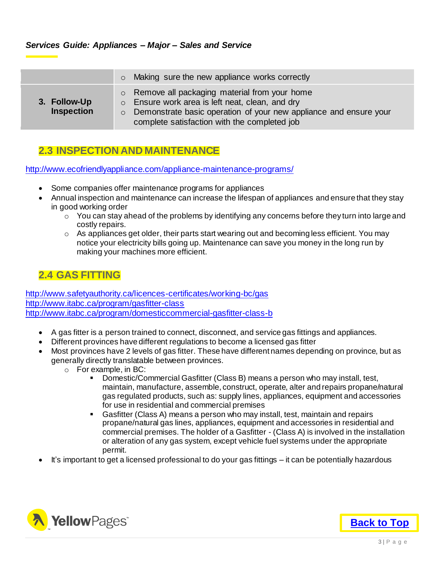#### <span id="page-4-0"></span>**2.3 INSPECTION AND MAINTENANCE**

<http://www.ecofriendlyappliance.com/appliance-maintenance-programs/>

- Some companies offer maintenance programs for appliances
- Annual inspection and maintenance can increase the lifespan of appliances and ensure that they stay in good working order
	- $\circ$  You can stay ahead of the problems by identifying any concerns before they turn into large and costly repairs.
	- $\circ$  As appliances get older, their parts start wearing out and becoming less efficient. You may notice your electricity bills going up. Maintenance can save you money in the long run by making your machines more efficient.

### <span id="page-4-1"></span>**2.4 GAS FITTING**

<http://www.safetyauthority.ca/licences-certificates/working-bc/gas> <http://www.itabc.ca/program/gasfitter-class> <http://www.itabc.ca/program/domesticcommercial-gasfitter-class-b>

- A gas fitter is a person trained to connect, disconnect, and service gas fittings and appliances.
- Different provinces have different regulations to become a licensed gas fitter
- Most provinces have 2 levels of gas fitter. These have different names depending on province, but as generally directly translatable between provinces.
	- o For example, in BC:<br>Domestic/Co
		- Domestic/Commercial Gasfitter (Class B) means a person who may install, test, maintain, manufacture, assemble, construct, operate, alter and repairs propane/natural gas regulated products, such as: supply lines, appliances, equipment and accessories for use in residential and commercial premises
		- Gasfitter (Class A) means a person who may install, test, maintain and repairs propane/natural gas lines, appliances, equipment and accessories in residential and commercial premises. The holder of a Gasfitter - (Class A) is involved in the installation or alteration of any gas system, except vehicle fuel systems under the appropriate permit.
- It's important to get a licensed professional to do your gas fittings it can be potentially hazardous

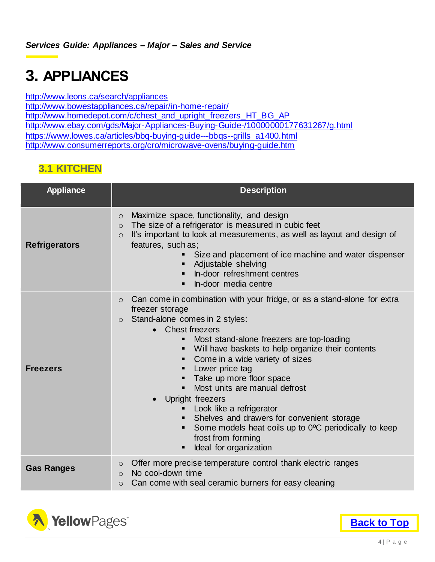# <span id="page-5-0"></span>**3. APPLIANCES**

<http://www.leons.ca/search/appliances>

<http://www.bowestappliances.ca/repair/in-home-repair/> [http://www.homedepot.com/c/chest\\_and\\_upright\\_freezers\\_HT\\_BG\\_AP](http://www.homedepot.com/c/chest_and_upright_freezers_HT_BG_AP) <http://www.ebay.com/gds/Major-Appliances-Buying-Guide-/10000000177631267/g.html> [https://www.lowes.ca/articles/bbq-buying-guide---bbqs--grills\\_a1400.html](https://www.lowes.ca/articles/bbq-buying-guide---bbqs--grills_a1400.html) <http://www.consumerreports.org/cro/microwave-ovens/buying-guide.htm>

# <span id="page-5-1"></span>**3.1 KITCHEN**

| <b>Appliance</b>     | <b>Description</b>                                                                                                                                                                                                                                                                                                                                                                                                                                                                                                                                                                                                        |  |  |  |
|----------------------|---------------------------------------------------------------------------------------------------------------------------------------------------------------------------------------------------------------------------------------------------------------------------------------------------------------------------------------------------------------------------------------------------------------------------------------------------------------------------------------------------------------------------------------------------------------------------------------------------------------------------|--|--|--|
| <b>Refrigerators</b> | Maximize space, functionality, and design<br>$\circ$<br>The size of a refrigerator is measured in cubic feet<br>$\circ$<br>It's important to look at measurements, as well as layout and design of<br>$\circ$<br>features, such as;<br>Size and placement of ice machine and water dispenser<br>Adjustable shelving<br>In-door refreshment centres<br>In-door media centre                                                                                                                                                                                                                                                |  |  |  |
| <b>Freezers</b>      | Can come in combination with your fridge, or as a stand-alone for extra<br>$\circ$<br>freezer storage<br>Stand-alone comes in 2 styles:<br>$\circ$<br><b>Chest freezers</b><br>Most stand-alone freezers are top-loading<br>Will have baskets to help organize their contents<br>٠<br>Come in a wide variety of sizes<br>Lower price tag<br>Take up more floor space<br>Most units are manual defrost<br>Upright freezers<br>$\bullet$<br>Look like a refrigerator<br>Shelves and drawers for convenient storage<br>Some models heat coils up to 0°C periodically to keep<br>frost from forming<br>Ideal for organization |  |  |  |
| <b>Gas Ranges</b>    | Offer more precise temperature control thank electric ranges<br>$\circ$<br>No cool-down time<br>$\bigcap$<br>Can come with seal ceramic burners for easy cleaning<br>$\circ$                                                                                                                                                                                                                                                                                                                                                                                                                                              |  |  |  |

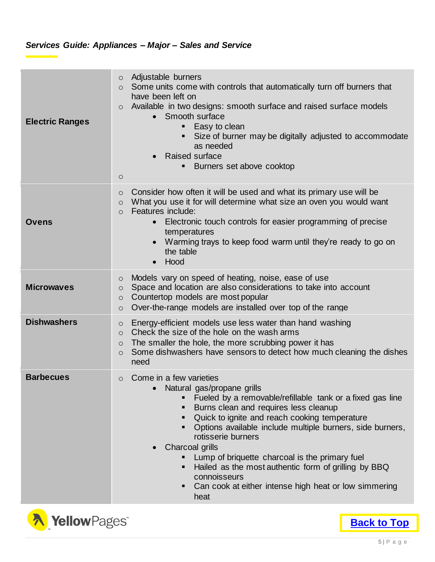### *Services Guide: Appliances – Major – Sales and Service*

| <b>Electric Ranges</b> | Adjustable burners<br>$\circ$<br>Some units come with controls that automatically turn off burners that<br>$\circ$<br>have been left on<br>Available in two designs: smooth surface and raised surface models<br>$\circ$<br>Smooth surface<br>$\bullet$<br>Easy to clean<br>Size of burner may be digitally adjusted to accommodate<br>٠<br>as needed<br><b>Raised surface</b><br>$\bullet$<br>Burners set above cooktop<br>٠<br>$\circ$                                                                                                  |  |  |
|------------------------|-------------------------------------------------------------------------------------------------------------------------------------------------------------------------------------------------------------------------------------------------------------------------------------------------------------------------------------------------------------------------------------------------------------------------------------------------------------------------------------------------------------------------------------------|--|--|
| <b>Ovens</b>           | Consider how often it will be used and what its primary use will be<br>$\circ$<br>What you use it for will determine what size an oven you would want<br>$\circ$<br>Features include:<br>$\circ$<br>Electronic touch controls for easier programming of precise<br>$\bullet$<br>temperatures<br>Warming trays to keep food warm until they're ready to go on<br>the table<br>Hood<br>$\bullet$                                                                                                                                            |  |  |
| <b>Microwaves</b>      | Models vary on speed of heating, noise, ease of use<br>$\circ$<br>Space and location are also considerations to take into account<br>$\circ$<br>Countertop models are most popular<br>$\circ$<br>Over-the-range models are installed over top of the range<br>$\circ$                                                                                                                                                                                                                                                                     |  |  |
| <b>Dishwashers</b>     | Energy-efficient models use less water than hand washing<br>$\circ$<br>Check the size of the hole on the wash arms<br>$\circ$<br>The smaller the hole, the more scrubbing power it has<br>$\circ$<br>Some dishwashers have sensors to detect how much cleaning the dishes<br>$\circ$<br>need                                                                                                                                                                                                                                              |  |  |
| <b>Barbecues</b>       | Come in a few varieties<br>$\circ$<br>• Natural gas/propane grills<br>Fueled by a removable/refillable tank or a fixed gas line<br>Burns clean and requires less cleanup<br>٠<br>Quick to ignite and reach cooking temperature<br>٠<br>Options available include multiple burners, side burners,<br>rotisserie burners<br>Charcoal grills<br>Lump of briquette charcoal is the primary fuel<br>п<br>Hailed as the most authentic form of grilling by BBQ<br>connoisseurs<br>Can cook at either intense high heat or low simmering<br>heat |  |  |

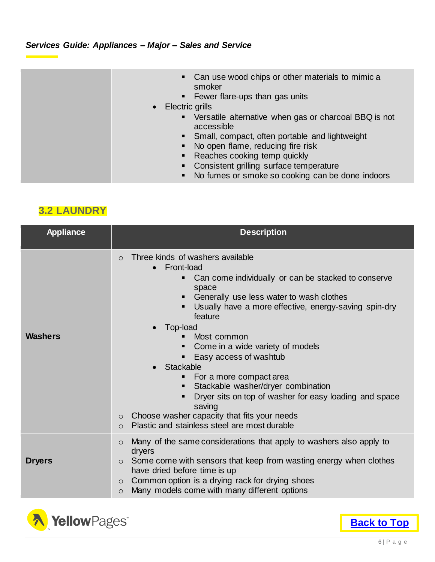### *Services Guide: Appliances – Major – Sales and Service*

| $\bullet$ | • Can use wood chips or other materials to mimic a<br>smoker<br>Fewer flare-ups than gas units<br>$\blacksquare$<br>Electric grills<br>Versatile alternative when gas or charcoal BBQ is not<br>$\blacksquare$<br>accessible<br>Small, compact, often portable and lightweight<br>No open flame, reducing fire risk |
|-----------|---------------------------------------------------------------------------------------------------------------------------------------------------------------------------------------------------------------------------------------------------------------------------------------------------------------------|
|           |                                                                                                                                                                                                                                                                                                                     |
|           | Reaches cooking temp quickly                                                                                                                                                                                                                                                                                        |
|           | Consistent grilling surface temperature                                                                                                                                                                                                                                                                             |
|           | No fumes or smoke so cooking can be done indoors                                                                                                                                                                                                                                                                    |

# <span id="page-7-0"></span>**3.2 LAUNDRY**

| <b>Appliance</b> | <b>Description</b>                                                                                                                                                                                                                                                                                                                                                                                                                                                                                                                                                                                                                                                  |  |  |
|------------------|---------------------------------------------------------------------------------------------------------------------------------------------------------------------------------------------------------------------------------------------------------------------------------------------------------------------------------------------------------------------------------------------------------------------------------------------------------------------------------------------------------------------------------------------------------------------------------------------------------------------------------------------------------------------|--|--|
| <b>Washers</b>   | Three kinds of washers available<br>$\circ$<br>Front-load<br>$\bullet$<br>Can come individually or can be stacked to conserve<br>space<br>Generally use less water to wash clothes<br>п<br>Usually have a more effective, energy-saving spin-dry<br>■<br>feature<br>Top-load<br>Most common<br>Come in a wide variety of models<br>Easy access of washtub<br>■<br><b>Stackable</b><br>For a more compact area<br>п<br>Stackable washer/dryer combination<br>Dryer sits on top of washer for easy loading and space<br>$\blacksquare$<br>saving<br>Choose washer capacity that fits your needs<br>$\circ$<br>Plastic and stainless steel are most durable<br>$\circ$ |  |  |
|                  | Many of the same considerations that apply to washers also apply to<br>$\circ$<br>dryers                                                                                                                                                                                                                                                                                                                                                                                                                                                                                                                                                                            |  |  |
| <b>Dryers</b>    | Some come with sensors that keep from wasting energy when clothes<br>$\circ$<br>have dried before time is up<br>Common option is a drying rack for drying shoes<br>$\circ$<br>Many models come with many different options<br>$\circ$                                                                                                                                                                                                                                                                                                                                                                                                                               |  |  |



**[Back to Top](#page-1-0)**